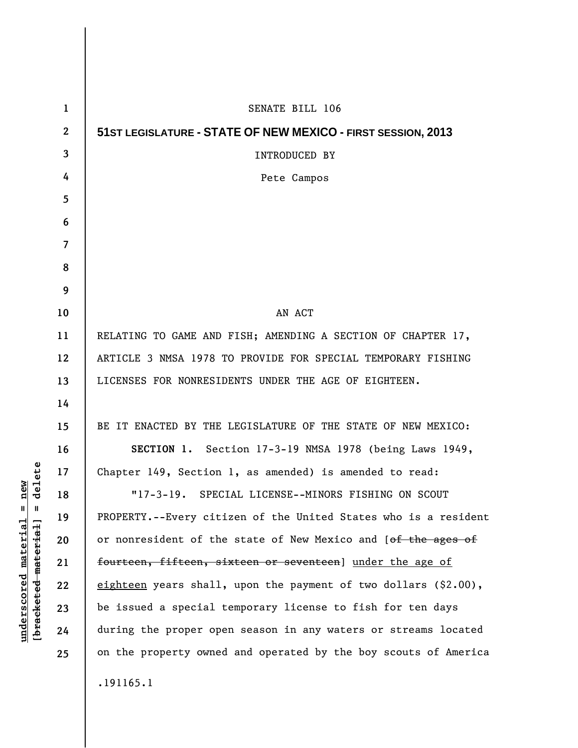| $\mathbf{1}$   | SENATE BILL 106                                                    |
|----------------|--------------------------------------------------------------------|
| $\mathbf{2}$   | 51 ST LEGISLATURE - STATE OF NEW MEXICO - FIRST SESSION, 2013      |
| 3              | INTRODUCED BY                                                      |
| 4              | Pete Campos                                                        |
| 5              |                                                                    |
| 6              |                                                                    |
| $\overline{7}$ |                                                                    |
| 8              |                                                                    |
| 9              |                                                                    |
| 10             | AN ACT                                                             |
| 11             | RELATING TO GAME AND FISH; AMENDING A SECTION OF CHAPTER 17,       |
| 12             | ARTICLE 3 NMSA 1978 TO PROVIDE FOR SPECIAL TEMPORARY FISHING       |
| 13             | LICENSES FOR NONRESIDENTS UNDER THE AGE OF EIGHTEEN.               |
| 14             |                                                                    |
| 15             | BE IT ENACTED BY THE LEGISLATURE OF THE STATE OF NEW MEXICO:       |
| 16             | SECTION 1. Section 17-3-19 NMSA 1978 (being Laws 1949,             |
| 17             | Chapter 149, Section 1, as amended) is amended to read:            |
| 18             | "17-3-19. SPECIAL LICENSE--MINORS FISHING ON SCOUT                 |
| 19             | PROPERTY.--Every citizen of the United States who is a resident    |
| 20             | or nonresident of the state of New Mexico and [of the ages of      |
| 21             | fourteen, fifteen, sixteen or seventeen] under the age of          |
| 22             | eighteen years shall, upon the payment of two dollars $(\$2.00)$ , |
| 23             | be issued a special temporary license to fish for ten days         |
| 24             | during the proper open season in any waters or streams located     |
| 25             | on the property owned and operated by the boy scouts of America    |
|                | .191165.1                                                          |

 $[bracketeed-materiat] = delete$ **[bracketed material] = delete**  $underscored material = new$ **underscored material = new**